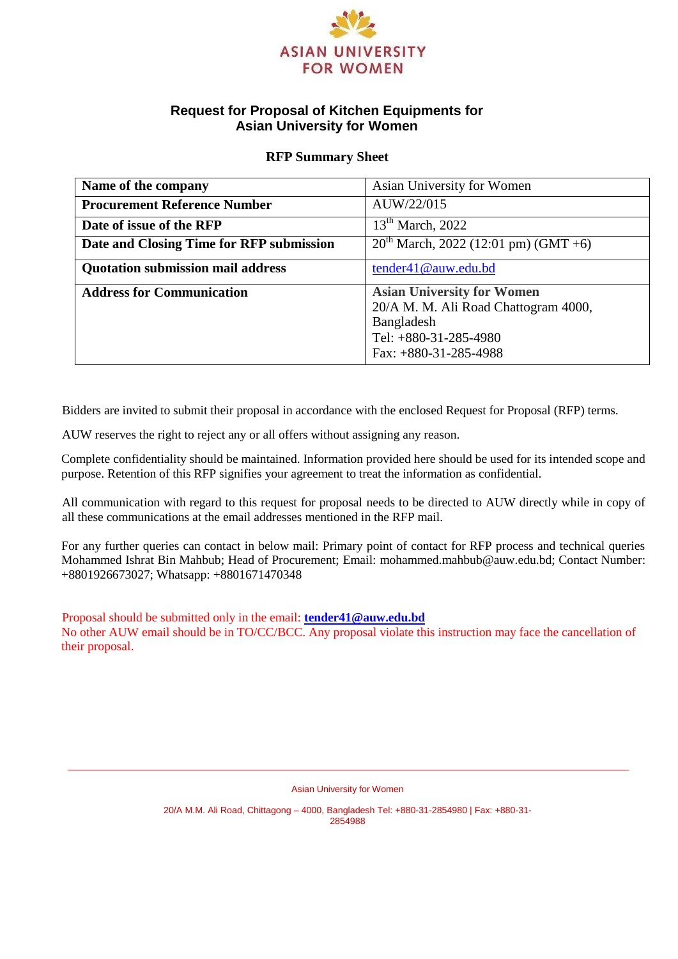

# **Request for Proposal of Kitchen Equipments for Asian University for Women**

#### **RFP Summary Sheet**

| Name of the company                      | Asian University for Women                                                                                                                    |
|------------------------------------------|-----------------------------------------------------------------------------------------------------------------------------------------------|
| <b>Procurement Reference Number</b>      | AUW/22/015                                                                                                                                    |
| Date of issue of the RFP                 | $13th$ March, 2022                                                                                                                            |
| Date and Closing Time for RFP submission | $20^{th}$ March, 2022 (12:01 pm) (GMT +6)                                                                                                     |
| <b>Quotation submission mail address</b> | tender41@auw.edu.bd                                                                                                                           |
| <b>Address for Communication</b>         | <b>Asian University for Women</b><br>20/A M. M. Ali Road Chattogram 4000,<br>Bangladesh<br>Tel: $+880-31-285-4980$<br>Fax: $+880-31-285-4988$ |

Bidders are invited to submit their proposal in accordance with the enclosed Request for Proposal (RFP) terms.

AUW reserves the right to reject any or all offers without assigning any reason.

Complete confidentiality should be maintained. Information provided here should be used for its intended scope and purpose. Retention of this RFP signifies your agreement to treat the information as confidential.

All communication with regard to this request for proposal needs to be directed to AUW directly while in copy of all these communications at the email addresses mentioned in the RFP mail.

For any further queries can contact in below mail: Primary point of contact for RFP process and technical queries Mohammed Ishrat Bin Mahbub; Head of Procurement; Email: mohammed.mahbub@auw.edu.bd; Contact Number: +8801926673027; Whatsapp: +8801671470348

Proposal should be submitted only in the email: **[tender41@auw.edu.bd](mailto:tender41@auw.edu.bd)**

No other AUW email should be in TO/CC/BCC. Any proposal violate this instruction may face the cancellation of their proposal.

Asian University for Women

20/A M.M. Ali Road, Chittagong – 4000, Bangladesh Tel: +880-31-2854980 | Fax: +880-31- 2854988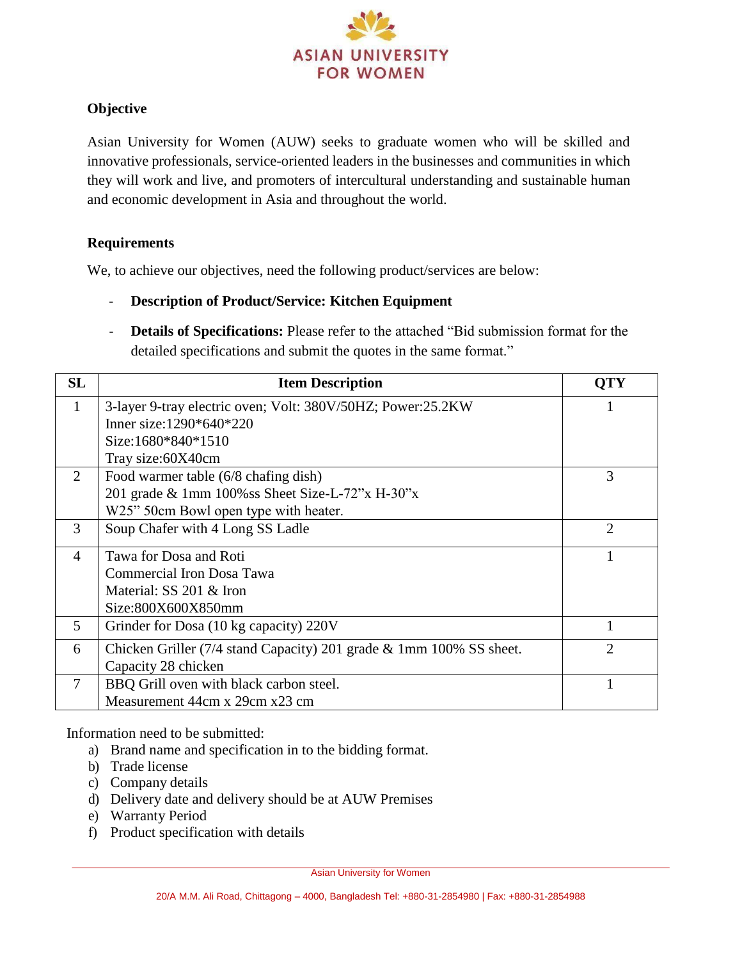

# **Objective**

Asian University for Women (AUW) seeks to graduate women who will be skilled and innovative professionals, service-oriented leaders in the businesses and communities in which they will work and live, and promoters of intercultural understanding and sustainable human and economic development in Asia and throughout the world.

### **Requirements**

We, to achieve our objectives, need the following product/services are below:

- **Description of Product/Service: Kitchen Equipment**
- **Details of Specifications:** Please refer to the attached "Bid submission format for the detailed specifications and submit the quotes in the same format."

| <b>SL</b> | <b>Item Description</b>                                             | <b>OTY</b>                  |
|-----------|---------------------------------------------------------------------|-----------------------------|
| 1         | 3-layer 9-tray electric oven; Volt: 380V/50HZ; Power:25.2KW         |                             |
|           | Inner size: $1290*640*220$                                          |                             |
|           | Size:1680*840*1510                                                  |                             |
|           | Tray size:60X40cm                                                   |                             |
| 2         | Food warmer table (6/8 chafing dish)                                | 3                           |
|           | 201 grade & 1mm $100\%$ ss Sheet Size-L-72"x H-30"x                 |                             |
|           | W25" 50cm Bowl open type with heater.                               |                             |
| 3         | Soup Chafer with 4 Long SS Ladle                                    | $\mathcal{D}_{\mathcal{L}}$ |
| 4         | Tawa for Dosa and Roti                                              |                             |
|           | Commercial Iron Dosa Tawa                                           |                             |
|           | Material: SS 201 & Iron                                             |                             |
|           | Size:800X600X850mm                                                  |                             |
| 5         | Grinder for Dosa (10 kg capacity) 220V                              | 1                           |
| 6         | Chicken Griller (7/4 stand Capacity) 201 grade & 1mm 100% SS sheet. | $\mathfrak{D}$              |
|           | Capacity 28 chicken                                                 |                             |
| 7         | BBQ Grill oven with black carbon steel.                             |                             |
|           | Measurement 44cm x 29cm x23 cm                                      |                             |

Information need to be submitted:

- a) Brand name and specification in to the bidding format.
- b) Trade license
- c) Company details
- d) Delivery date and delivery should be at AUW Premises
- e) Warranty Period
- f) Product specification with details

Asian University for Women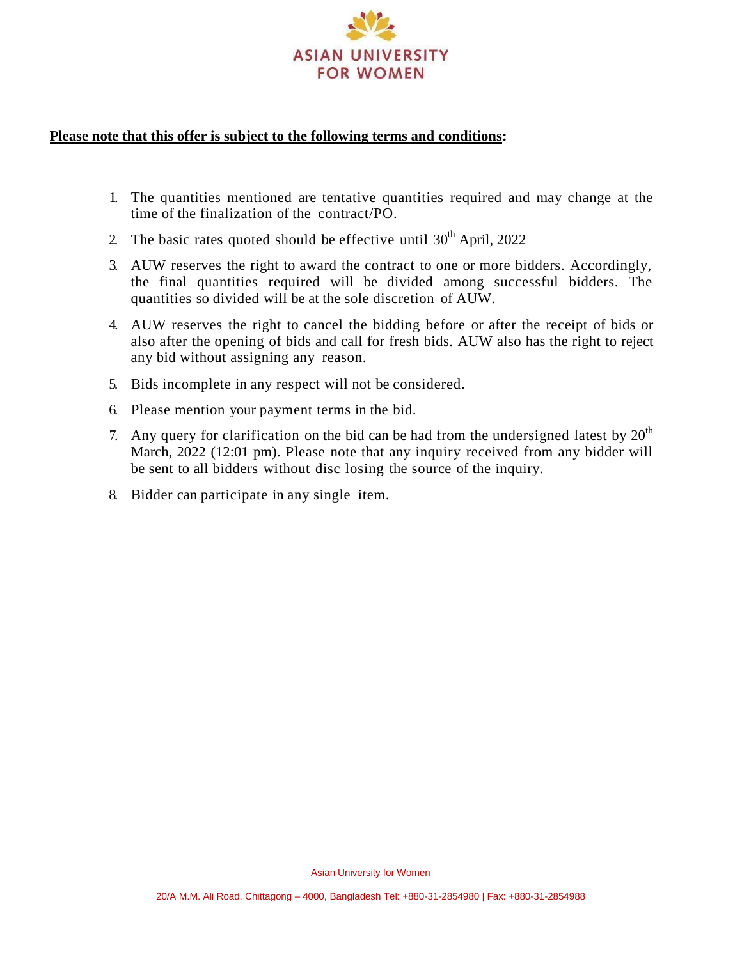

#### **Please note that this offer is subject to the following terms and conditions:**

- 1. The quantities mentioned are tentative quantities required and may change at the time of the finalization of the contract/PO.
- 2. The basic rates quoted should be effective until  $30<sup>th</sup>$  April, 2022
- 3. AUW reserves the right to award the contract to one or more bidders. Accordingly, the final quantities required will be divided among successful bidders. The quantities so divided will be at the sole discretion of AUW.
- 4. AUW reserves the right to cancel the bidding before or after the receipt of bids or also after the opening of bids and call for fresh bids. AUW also has the right to reject any bid without assigning any reason.
- 5. Bids incomplete in any respect will not be considered.
- 6. Please mention your payment terms in the bid.
- 7. Any query for clarification on the bid can be had from the undersigned latest by  $20<sup>th</sup>$ March, 2022 (12:01 pm). Please note that any inquiry received from any bidder will be sent to all bidders without disc losing the source of the inquiry.
- 8. Bidder can participate in any single item.